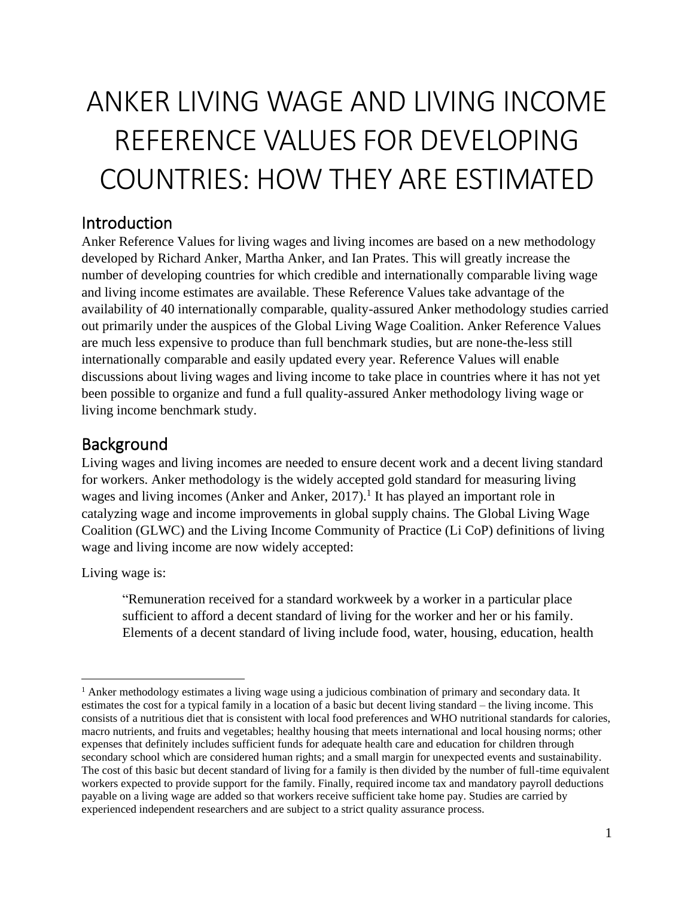# ANKER LIVING WAGE AND LIVING INCOME REFERENCE VALUES FOR DEVELOPING COUNTRIES: HOW THEY ARE ESTIMATED

### Introduction

Anker Reference Values for living wages and living incomes are based on a new methodology developed by Richard Anker, Martha Anker, and Ian Prates. This will greatly increase the number of developing countries for which credible and internationally comparable living wage and living income estimates are available. These Reference Values take advantage of the availability of 40 internationally comparable, quality-assured Anker methodology studies carried out primarily under the auspices of the Global Living Wage Coalition. Anker Reference Values are much less expensive to produce than full benchmark studies, but are none-the-less still internationally comparable and easily updated every year. Reference Values will enable discussions about living wages and living income to take place in countries where it has not yet been possible to organize and fund a full quality-assured Anker methodology living wage or living income benchmark study.

## **Background**

Living wages and living incomes are needed to ensure decent work and a decent living standard for workers. Anker methodology is the widely accepted gold standard for measuring living wages and living incomes (Anker and Anker, 2017).<sup>1</sup> It has played an important role in catalyzing wage and income improvements in global supply chains. The Global Living Wage Coalition (GLWC) and the Living Income Community of Practice (Li CoP) definitions of living wage and living income are now widely accepted:

Living wage is:

"Remuneration received for a standard workweek by a worker in a particular place sufficient to afford a decent standard of living for the worker and her or his family. Elements of a decent standard of living include food, water, housing, education, health

 $<sup>1</sup>$  Anker methodology estimates a living wage using a judicious combination of primary and secondary data. It</sup> estimates the cost for a typical family in a location of a basic but decent living standard – the living income. This consists of a nutritious diet that is consistent with local food preferences and WHO nutritional standards for calories, macro nutrients, and fruits and vegetables; healthy housing that meets international and local housing norms; other expenses that definitely includes sufficient funds for adequate health care and education for children through secondary school which are considered human rights; and a small margin for unexpected events and sustainability. The cost of this basic but decent standard of living for a family is then divided by the number of full-time equivalent workers expected to provide support for the family. Finally, required income tax and mandatory payroll deductions payable on a living wage are added so that workers receive sufficient take home pay. Studies are carried by experienced independent researchers and are subject to a strict quality assurance process.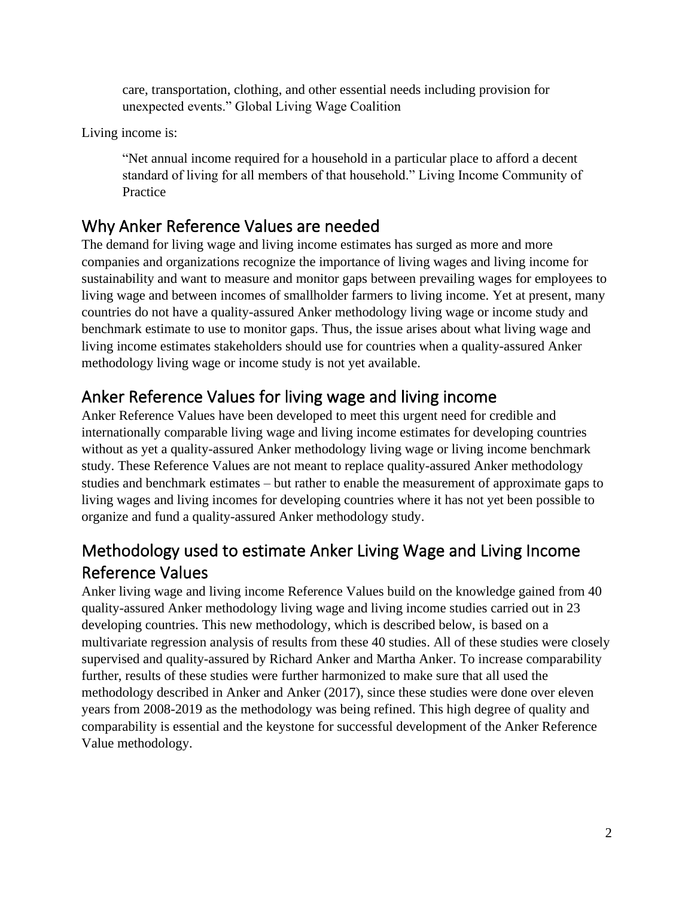care, transportation, clothing, and other essential needs including provision for unexpected events." Global Living Wage Coalition

Living income is:

"Net annual income required for a household in a particular place to afford a decent standard of living for all members of that household." Living Income Community of Practice

## Why Anker Reference Values are needed

The demand for living wage and living income estimates has surged as more and more companies and organizations recognize the importance of living wages and living income for sustainability and want to measure and monitor gaps between prevailing wages for employees to living wage and between incomes of smallholder farmers to living income. Yet at present, many countries do not have a quality-assured Anker methodology living wage or income study and benchmark estimate to use to monitor gaps. Thus, the issue arises about what living wage and living income estimates stakeholders should use for countries when a quality-assured Anker methodology living wage or income study is not yet available.

# Anker Reference Values for living wage and living income

Anker Reference Values have been developed to meet this urgent need for credible and internationally comparable living wage and living income estimates for developing countries without as yet a quality-assured Anker methodology living wage or living income benchmark study. These Reference Values are not meant to replace quality-assured Anker methodology studies and benchmark estimates – but rather to enable the measurement of approximate gaps to living wages and living incomes for developing countries where it has not yet been possible to organize and fund a quality-assured Anker methodology study.

# Methodology used to estimate Anker Living Wage and Living Income Reference Values

Anker living wage and living income Reference Values build on the knowledge gained from 40 quality-assured Anker methodology living wage and living income studies carried out in 23 developing countries. This new methodology, which is described below, is based on a multivariate regression analysis of results from these 40 studies. All of these studies were closely supervised and quality-assured by Richard Anker and Martha Anker. To increase comparability further, results of these studies were further harmonized to make sure that all used the methodology described in Anker and Anker (2017), since these studies were done over eleven years from 2008-2019 as the methodology was being refined. This high degree of quality and comparability is essential and the keystone for successful development of the Anker Reference Value methodology.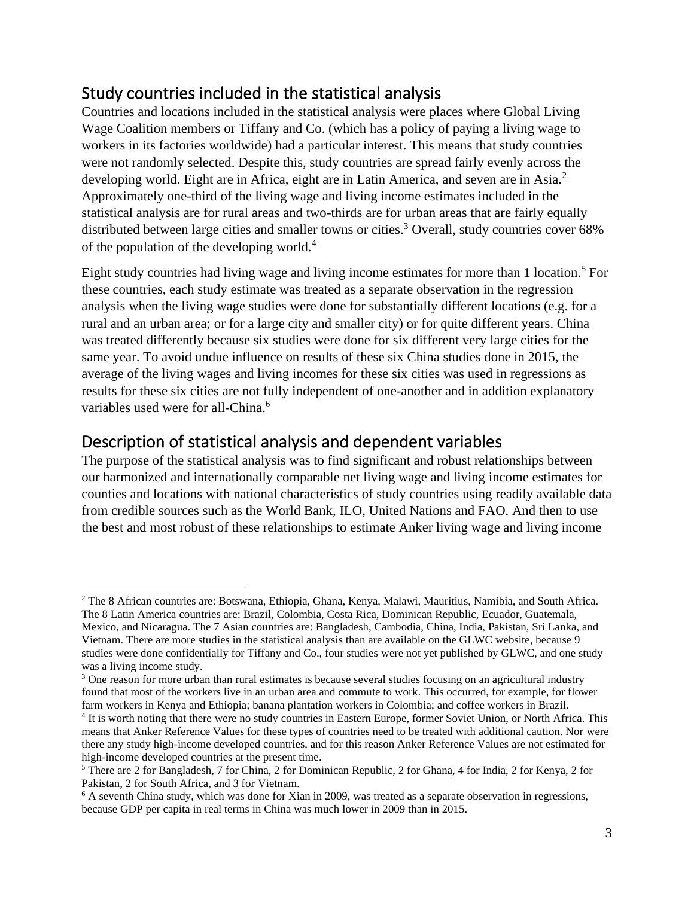## Study countries included in the statistical analysis

Countries and locations included in the statistical analysis were places where Global Living Wage Coalition members or Tiffany and Co. (which has a policy of paying a living wage to workers in its factories worldwide) had a particular interest. This means that study countries were not randomly selected. Despite this, study countries are spread fairly evenly across the developing world. Eight are in Africa, eight are in Latin America, and seven are in Asia.<sup>2</sup> Approximately one-third of the living wage and living income estimates included in the statistical analysis are for rural areas and two-thirds are for urban areas that are fairly equally distributed between large cities and smaller towns or cities.<sup>3</sup> Overall, study countries cover 68% of the population of the developing world.<sup>4</sup>

Eight study countries had living wage and living income estimates for more than 1 location.<sup>5</sup> For these countries, each study estimate was treated as a separate observation in the regression analysis when the living wage studies were done for substantially different locations (e.g. for a rural and an urban area; or for a large city and smaller city) or for quite different years. China was treated differently because six studies were done for six different very large cities for the same year. To avoid undue influence on results of these six China studies done in 2015, the average of the living wages and living incomes for these six cities was used in regressions as results for these six cities are not fully independent of one-another and in addition explanatory variables used were for all-China. 6

## Description of statistical analysis and dependent variables

The purpose of the statistical analysis was to find significant and robust relationships between our harmonized and internationally comparable net living wage and living income estimates for counties and locations with national characteristics of study countries using readily available data from credible sources such as the World Bank, ILO, United Nations and FAO. And then to use the best and most robust of these relationships to estimate Anker living wage and living income

<sup>2</sup> The 8 African countries are: Botswana, Ethiopia, Ghana, Kenya, Malawi, Mauritius, Namibia, and South Africa. The 8 Latin America countries are: Brazil, Colombia, Costa Rica, Dominican Republic, Ecuador, Guatemala, Mexico, and Nicaragua. The 7 Asian countries are: Bangladesh, Cambodia, China, India, Pakistan, Sri Lanka, and Vietnam. There are more studies in the statistical analysis than are available on the GLWC website, because 9 studies were done confidentially for Tiffany and Co., four studies were not yet published by GLWC, and one study was a living income study.

<sup>&</sup>lt;sup>3</sup> One reason for more urban than rural estimates is because several studies focusing on an agricultural industry found that most of the workers live in an urban area and commute to work. This occurred, for example, for flower farm workers in Kenya and Ethiopia; banana plantation workers in Colombia; and coffee workers in Brazil.

<sup>&</sup>lt;sup>4</sup> It is worth noting that there were no study countries in Eastern Europe, former Soviet Union, or North Africa. This means that Anker Reference Values for these types of countries need to be treated with additional caution. Nor were there any study high-income developed countries, and for this reason Anker Reference Values are not estimated for high-income developed countries at the present time.

<sup>5</sup> There are 2 for Bangladesh, 7 for China, 2 for Dominican Republic, 2 for Ghana, 4 for India, 2 for Kenya, 2 for Pakistan, 2 for South Africa, and 3 for Vietnam.

<sup>&</sup>lt;sup>6</sup> A seventh China study, which was done for Xian in 2009, was treated as a separate observation in regressions, because GDP per capita in real terms in China was much lower in 2009 than in 2015.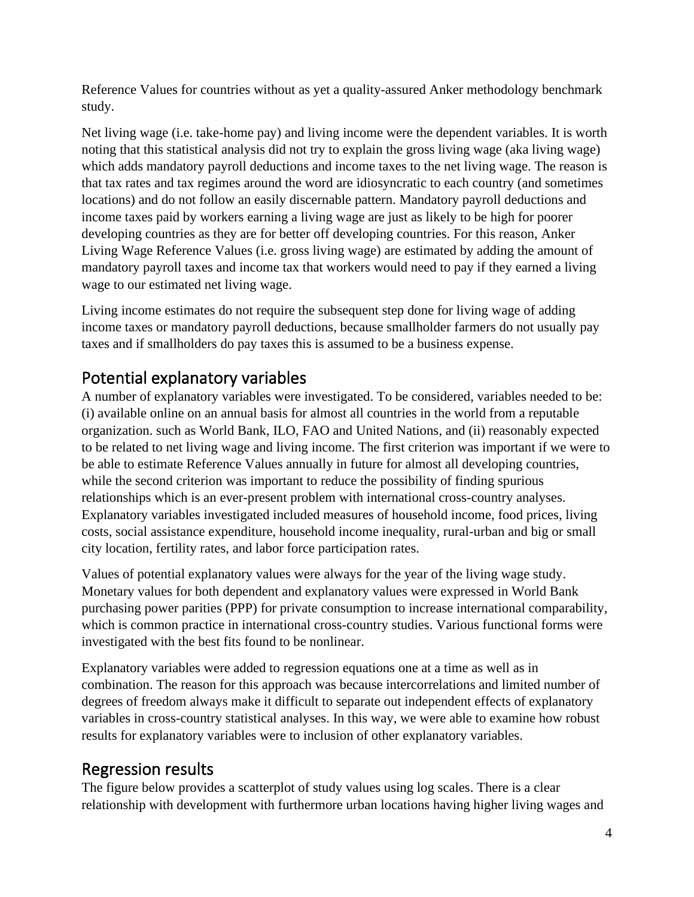Reference Values for countries without as yet a quality-assured Anker methodology benchmark study.

Net living wage (i.e. take-home pay) and living income were the dependent variables. It is worth noting that this statistical analysis did not try to explain the gross living wage (aka living wage) which adds mandatory payroll deductions and income taxes to the net living wage. The reason is that tax rates and tax regimes around the word are idiosyncratic to each country (and sometimes locations) and do not follow an easily discernable pattern. Mandatory payroll deductions and income taxes paid by workers earning a living wage are just as likely to be high for poorer developing countries as they are for better off developing countries. For this reason, Anker Living Wage Reference Values (i.e. gross living wage) are estimated by adding the amount of mandatory payroll taxes and income tax that workers would need to pay if they earned a living wage to our estimated net living wage.

Living income estimates do not require the subsequent step done for living wage of adding income taxes or mandatory payroll deductions, because smallholder farmers do not usually pay taxes and if smallholders do pay taxes this is assumed to be a business expense.

## Potential explanatory variables

A number of explanatory variables were investigated. To be considered, variables needed to be: (i) available online on an annual basis for almost all countries in the world from a reputable organization. such as World Bank, ILO, FAO and United Nations, and (ii) reasonably expected to be related to net living wage and living income. The first criterion was important if we were to be able to estimate Reference Values annually in future for almost all developing countries, while the second criterion was important to reduce the possibility of finding spurious relationships which is an ever-present problem with international cross-country analyses. Explanatory variables investigated included measures of household income, food prices, living costs, social assistance expenditure, household income inequality, rural-urban and big or small city location, fertility rates, and labor force participation rates.

Values of potential explanatory values were always for the year of the living wage study. Monetary values for both dependent and explanatory values were expressed in World Bank purchasing power parities (PPP) for private consumption to increase international comparability, which is common practice in international cross-country studies. Various functional forms were investigated with the best fits found to be nonlinear.

Explanatory variables were added to regression equations one at a time as well as in combination. The reason for this approach was because intercorrelations and limited number of degrees of freedom always make it difficult to separate out independent effects of explanatory variables in cross-country statistical analyses. In this way, we were able to examine how robust results for explanatory variables were to inclusion of other explanatory variables.

## Regression results

The figure below provides a scatterplot of study values using log scales. There is a clear relationship with development with furthermore urban locations having higher living wages and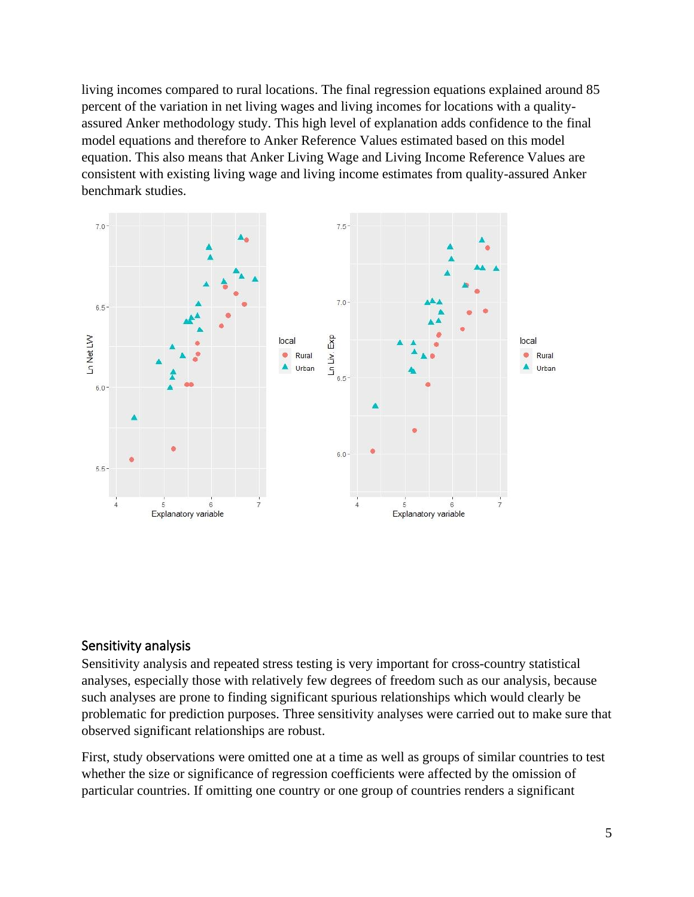living incomes compared to rural locations. The final regression equations explained around 85 percent of the variation in net living wages and living incomes for locations with a qualityassured Anker methodology study. This high level of explanation adds confidence to the final model equations and therefore to Anker Reference Values estimated based on this model equation. This also means that Anker Living Wage and Living Income Reference Values are consistent with existing living wage and living income estimates from quality-assured Anker benchmark studies.



#### Sensitivity analysis

Sensitivity analysis and repeated stress testing is very important for cross-country statistical analyses, especially those with relatively few degrees of freedom such as our analysis, because such analyses are prone to finding significant spurious relationships which would clearly be problematic for prediction purposes. Three sensitivity analyses were carried out to make sure that observed significant relationships are robust.

First, study observations were omitted one at a time as well as groups of similar countries to test whether the size or significance of regression coefficients were affected by the omission of particular countries. If omitting one country or one group of countries renders a significant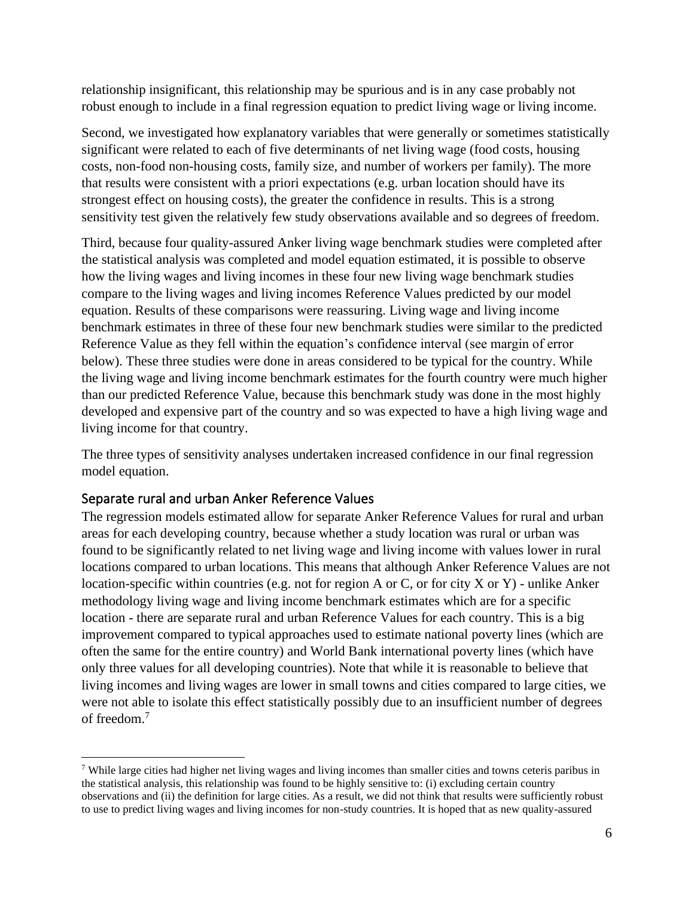relationship insignificant, this relationship may be spurious and is in any case probably not robust enough to include in a final regression equation to predict living wage or living income.

Second, we investigated how explanatory variables that were generally or sometimes statistically significant were related to each of five determinants of net living wage (food costs, housing costs, non-food non-housing costs, family size, and number of workers per family). The more that results were consistent with a priori expectations (e.g. urban location should have its strongest effect on housing costs), the greater the confidence in results. This is a strong sensitivity test given the relatively few study observations available and so degrees of freedom.

Third, because four quality-assured Anker living wage benchmark studies were completed after the statistical analysis was completed and model equation estimated, it is possible to observe how the living wages and living incomes in these four new living wage benchmark studies compare to the living wages and living incomes Reference Values predicted by our model equation. Results of these comparisons were reassuring. Living wage and living income benchmark estimates in three of these four new benchmark studies were similar to the predicted Reference Value as they fell within the equation's confidence interval (see margin of error below). These three studies were done in areas considered to be typical for the country. While the living wage and living income benchmark estimates for the fourth country were much higher than our predicted Reference Value, because this benchmark study was done in the most highly developed and expensive part of the country and so was expected to have a high living wage and living income for that country.

The three types of sensitivity analyses undertaken increased confidence in our final regression model equation.

#### Separate rural and urban Anker Reference Values

The regression models estimated allow for separate Anker Reference Values for rural and urban areas for each developing country, because whether a study location was rural or urban was found to be significantly related to net living wage and living income with values lower in rural locations compared to urban locations. This means that although Anker Reference Values are not location-specific within countries (e.g. not for region A or C, or for city X or Y) - unlike Anker methodology living wage and living income benchmark estimates which are for a specific location - there are separate rural and urban Reference Values for each country. This is a big improvement compared to typical approaches used to estimate national poverty lines (which are often the same for the entire country) and World Bank international poverty lines (which have only three values for all developing countries). Note that while it is reasonable to believe that living incomes and living wages are lower in small towns and cities compared to large cities, we were not able to isolate this effect statistically possibly due to an insufficient number of degrees of freedom.<sup>7</sup>

<sup>&</sup>lt;sup>7</sup> While large cities had higher net living wages and living incomes than smaller cities and towns ceteris paribus in the statistical analysis, this relationship was found to be highly sensitive to: (i) excluding certain country observations and (ii) the definition for large cities. As a result, we did not think that results were sufficiently robust to use to predict living wages and living incomes for non-study countries. It is hoped that as new quality-assured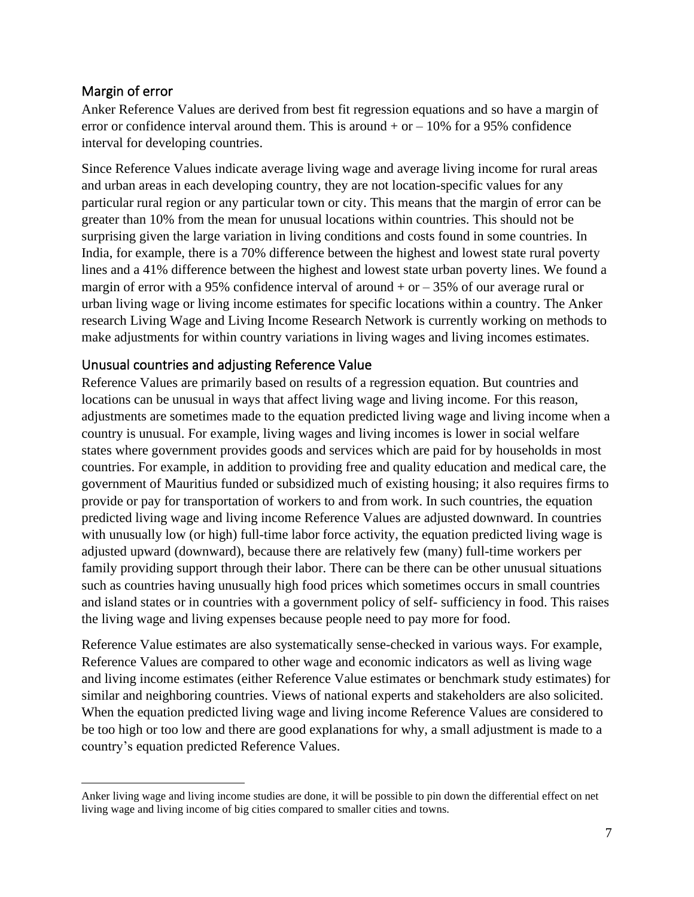#### Margin of error

Anker Reference Values are derived from best fit regression equations and so have a margin of error or confidence interval around them. This is around  $+$  or  $-10\%$  for a 95% confidence interval for developing countries.

Since Reference Values indicate average living wage and average living income for rural areas and urban areas in each developing country, they are not location-specific values for any particular rural region or any particular town or city. This means that the margin of error can be greater than 10% from the mean for unusual locations within countries. This should not be surprising given the large variation in living conditions and costs found in some countries. In India, for example, there is a 70% difference between the highest and lowest state rural poverty lines and a 41% difference between the highest and lowest state urban poverty lines. We found a margin of error with a 95% confidence interval of around  $+$  or  $-$  35% of our average rural or urban living wage or living income estimates for specific locations within a country. The Anker research Living Wage and Living Income Research Network is currently working on methods to make adjustments for within country variations in living wages and living incomes estimates.

#### Unusual countries and adjusting Reference Value

Reference Values are primarily based on results of a regression equation. But countries and locations can be unusual in ways that affect living wage and living income. For this reason, adjustments are sometimes made to the equation predicted living wage and living income when a country is unusual. For example, living wages and living incomes is lower in social welfare states where government provides goods and services which are paid for by households in most countries. For example, in addition to providing free and quality education and medical care, the government of Mauritius funded or subsidized much of existing housing; it also requires firms to provide or pay for transportation of workers to and from work. In such countries, the equation predicted living wage and living income Reference Values are adjusted downward. In countries with unusually low (or high) full-time labor force activity, the equation predicted living wage is adjusted upward (downward), because there are relatively few (many) full-time workers per family providing support through their labor. There can be there can be other unusual situations such as countries having unusually high food prices which sometimes occurs in small countries and island states or in countries with a government policy of self- sufficiency in food. This raises the living wage and living expenses because people need to pay more for food.

Reference Value estimates are also systematically sense-checked in various ways. For example, Reference Values are compared to other wage and economic indicators as well as living wage and living income estimates (either Reference Value estimates or benchmark study estimates) for similar and neighboring countries. Views of national experts and stakeholders are also solicited. When the equation predicted living wage and living income Reference Values are considered to be too high or too low and there are good explanations for why, a small adjustment is made to a country's equation predicted Reference Values.

Anker living wage and living income studies are done, it will be possible to pin down the differential effect on net living wage and living income of big cities compared to smaller cities and towns.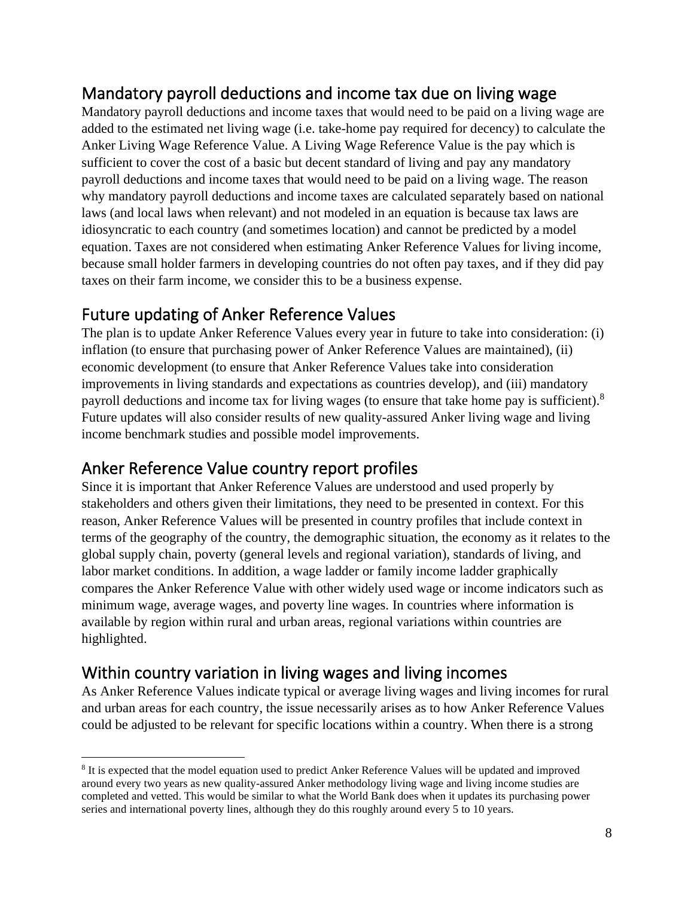# Mandatory payroll deductions and income tax due on living wage

Mandatory payroll deductions and income taxes that would need to be paid on a living wage are added to the estimated net living wage (i.e. take-home pay required for decency) to calculate the Anker Living Wage Reference Value. A Living Wage Reference Value is the pay which is sufficient to cover the cost of a basic but decent standard of living and pay any mandatory payroll deductions and income taxes that would need to be paid on a living wage. The reason why mandatory payroll deductions and income taxes are calculated separately based on national laws (and local laws when relevant) and not modeled in an equation is because tax laws are idiosyncratic to each country (and sometimes location) and cannot be predicted by a model equation. Taxes are not considered when estimating Anker Reference Values for living income, because small holder farmers in developing countries do not often pay taxes, and if they did pay taxes on their farm income, we consider this to be a business expense.

## Future updating of Anker Reference Values

The plan is to update Anker Reference Values every year in future to take into consideration: (i) inflation (to ensure that purchasing power of Anker Reference Values are maintained), (ii) economic development (to ensure that Anker Reference Values take into consideration improvements in living standards and expectations as countries develop), and (iii) mandatory payroll deductions and income tax for living wages (to ensure that take home pay is sufficient).<sup>8</sup> Future updates will also consider results of new quality-assured Anker living wage and living income benchmark studies and possible model improvements.

## Anker Reference Value country report profiles

Since it is important that Anker Reference Values are understood and used properly by stakeholders and others given their limitations, they need to be presented in context. For this reason, Anker Reference Values will be presented in country profiles that include context in terms of the geography of the country, the demographic situation, the economy as it relates to the global supply chain, poverty (general levels and regional variation), standards of living, and labor market conditions. In addition, a wage ladder or family income ladder graphically compares the Anker Reference Value with other widely used wage or income indicators such as minimum wage, average wages, and poverty line wages. In countries where information is available by region within rural and urban areas, regional variations within countries are highlighted.

## Within country variation in living wages and living incomes

As Anker Reference Values indicate typical or average living wages and living incomes for rural and urban areas for each country, the issue necessarily arises as to how Anker Reference Values could be adjusted to be relevant for specific locations within a country. When there is a strong

<sup>&</sup>lt;sup>8</sup> It is expected that the model equation used to predict Anker Reference Values will be updated and improved around every two years as new quality-assured Anker methodology living wage and living income studies are completed and vetted. This would be similar to what the World Bank does when it updates its purchasing power series and international poverty lines, although they do this roughly around every 5 to 10 years.